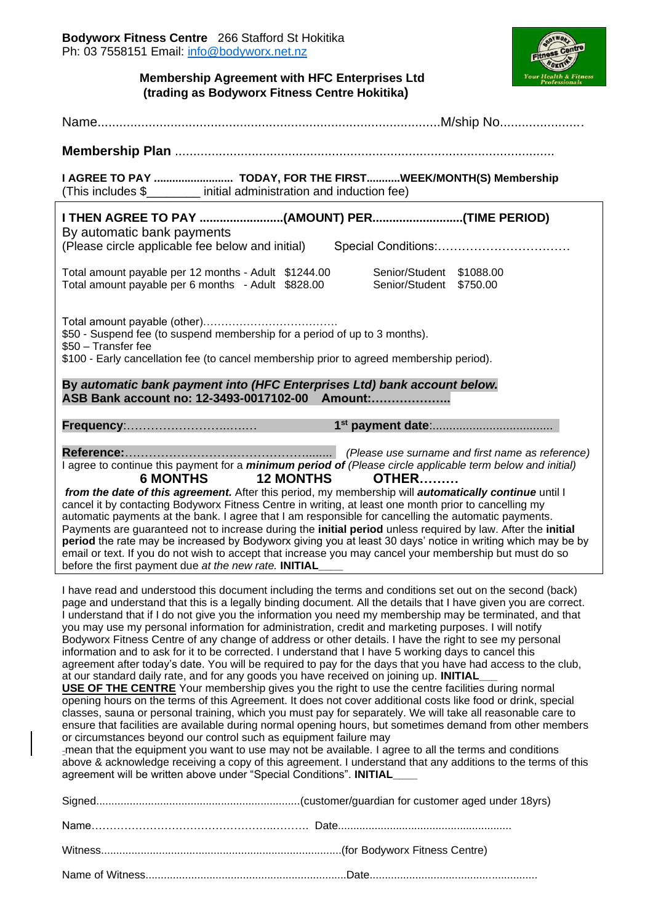

## **Membership Agreement with HFC Enterprises Ltd (trading as Bodyworx Fitness Centre Hokitika)**

| I AGREE TO PAY  TODAY, FOR THE FIRSTWEEK/MONTH(S) Membership<br>(This includes \$________ initial administration and induction fee)                                                                                                                                                                                                                                                                                                                                                                                                                                                                                                                                                                                                                                                                                                                                                                                                                                                                                                                                                                                                                                                                                                                                                                                                                                                                                                                                                                                                                                                                                                                                                                 |  |  |  |  |  |
|-----------------------------------------------------------------------------------------------------------------------------------------------------------------------------------------------------------------------------------------------------------------------------------------------------------------------------------------------------------------------------------------------------------------------------------------------------------------------------------------------------------------------------------------------------------------------------------------------------------------------------------------------------------------------------------------------------------------------------------------------------------------------------------------------------------------------------------------------------------------------------------------------------------------------------------------------------------------------------------------------------------------------------------------------------------------------------------------------------------------------------------------------------------------------------------------------------------------------------------------------------------------------------------------------------------------------------------------------------------------------------------------------------------------------------------------------------------------------------------------------------------------------------------------------------------------------------------------------------------------------------------------------------------------------------------------------------|--|--|--|--|--|
| I THEN AGREE TO PAY (AMOUNT) PER(TIME PERIOD)<br>By automatic bank payments<br>(Please circle applicable fee below and initial)<br>Total amount payable per 12 months - Adult \$1244.00<br>Senior/Student \$1088.00                                                                                                                                                                                                                                                                                                                                                                                                                                                                                                                                                                                                                                                                                                                                                                                                                                                                                                                                                                                                                                                                                                                                                                                                                                                                                                                                                                                                                                                                                 |  |  |  |  |  |
| Total amount payable per 6 months - Adult \$828.00<br>Senior/Student \$750.00<br>\$50 - Suspend fee (to suspend membership for a period of up to 3 months).<br>\$50 - Transfer fee                                                                                                                                                                                                                                                                                                                                                                                                                                                                                                                                                                                                                                                                                                                                                                                                                                                                                                                                                                                                                                                                                                                                                                                                                                                                                                                                                                                                                                                                                                                  |  |  |  |  |  |
| \$100 - Early cancellation fee (to cancel membership prior to agreed membership period).<br>By automatic bank payment into (HFC Enterprises Ltd) bank account below.                                                                                                                                                                                                                                                                                                                                                                                                                                                                                                                                                                                                                                                                                                                                                                                                                                                                                                                                                                                                                                                                                                                                                                                                                                                                                                                                                                                                                                                                                                                                |  |  |  |  |  |
| ASB Bank account no: 12-3493-0017102-00 Amount:                                                                                                                                                                                                                                                                                                                                                                                                                                                                                                                                                                                                                                                                                                                                                                                                                                                                                                                                                                                                                                                                                                                                                                                                                                                                                                                                                                                                                                                                                                                                                                                                                                                     |  |  |  |  |  |
|                                                                                                                                                                                                                                                                                                                                                                                                                                                                                                                                                                                                                                                                                                                                                                                                                                                                                                                                                                                                                                                                                                                                                                                                                                                                                                                                                                                                                                                                                                                                                                                                                                                                                                     |  |  |  |  |  |
| I agree to continue this payment for a <i>minimum period of (Please circle applicable term below and initial)</i><br><b>6 MONTHS</b><br><b>12 MONTHS</b><br>OTHER<br>from the date of this agreement. After this period, my membership will automatically continue until I<br>cancel it by contacting Bodyworx Fitness Centre in writing, at least one month prior to cancelling my<br>automatic payments at the bank. I agree that I am responsible for cancelling the automatic payments.<br>Payments are guaranteed not to increase during the initial period unless required by law. After the initial<br>period the rate may be increased by Bodyworx giving you at least 30 days' notice in writing which may be by<br>email or text. If you do not wish to accept that increase you may cancel your membership but must do so<br>before the first payment due at the new rate. INITIAL                                                                                                                                                                                                                                                                                                                                                                                                                                                                                                                                                                                                                                                                                                                                                                                                       |  |  |  |  |  |
| I have read and understood this document including the terms and conditions set out on the second (back)<br>page and understand that this is a legally binding document. All the details that I have given you are correct.<br>I understand that if I do not give you the information you need my membership may be terminated, and that<br>you may use my personal information for administration, credit and marketing purposes. I will notify<br>Bodyworx Fitness Centre of any change of address or other details. I have the right to see my personal<br>information and to ask for it to be corrected. I understand that I have 5 working days to cancel this<br>agreement after today's date. You will be required to pay for the days that you have had access to the club,<br>at our standard daily rate, and for any goods you have received on joining up. INITIAL<br>USE OF THE CENTRE Your membership gives you the right to use the centre facilities during normal<br>opening hours on the terms of this Agreement. It does not cover additional costs like food or drink, special<br>classes, sauna or personal training, which you must pay for separately. We will take all reasonable care to<br>ensure that facilities are available during normal opening hours, but sometimes demand from other members<br>or circumstances beyond our control such as equipment failure may<br>-mean that the equipment you want to use may not be available. I agree to all the terms and conditions<br>above & acknowledge receiving a copy of this agreement. I understand that any additions to the terms of this<br>agreement will be written above under "Special Conditions". INITIAL |  |  |  |  |  |
|                                                                                                                                                                                                                                                                                                                                                                                                                                                                                                                                                                                                                                                                                                                                                                                                                                                                                                                                                                                                                                                                                                                                                                                                                                                                                                                                                                                                                                                                                                                                                                                                                                                                                                     |  |  |  |  |  |
|                                                                                                                                                                                                                                                                                                                                                                                                                                                                                                                                                                                                                                                                                                                                                                                                                                                                                                                                                                                                                                                                                                                                                                                                                                                                                                                                                                                                                                                                                                                                                                                                                                                                                                     |  |  |  |  |  |
|                                                                                                                                                                                                                                                                                                                                                                                                                                                                                                                                                                                                                                                                                                                                                                                                                                                                                                                                                                                                                                                                                                                                                                                                                                                                                                                                                                                                                                                                                                                                                                                                                                                                                                     |  |  |  |  |  |
|                                                                                                                                                                                                                                                                                                                                                                                                                                                                                                                                                                                                                                                                                                                                                                                                                                                                                                                                                                                                                                                                                                                                                                                                                                                                                                                                                                                                                                                                                                                                                                                                                                                                                                     |  |  |  |  |  |